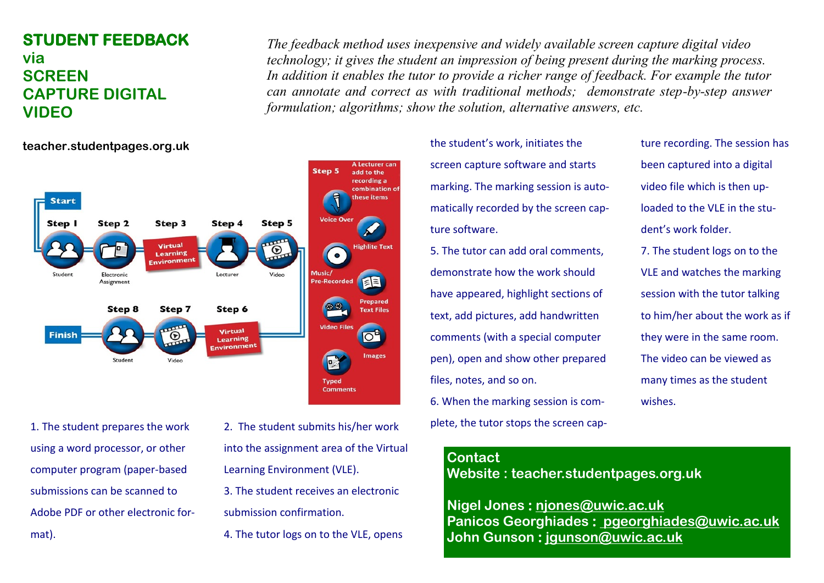# **STUDENT FEEDBACK via SCREEN CAPTURE DIGITAL VIDEO**

*The feedback method uses inexpensive and widely available screen capture digital video technology; it gives the student an impression of being present during the marking process. In addition it enables the tutor to provide a richer range of feedback. For example the tutor can annotate and correct as with traditional methods; demonstrate step-by-step answer formulation; algorithms; show the solution, alternative answers, etc.*



1. The student prepares the work using a word processor, or other computer program (paper-based submissions can be scanned to Adobe PDF or other electronic format).

- 2. The student submits his/her work into the assignment area of the Virtual Learning Environment (VLE).
- 3. The student receives an electronic
- submission confirmation.
- 4. The tutor logs on to the VLE, opens

the student's work, initiates the screen capture software and starts marking. The marking session is automatically recorded by the screen capture software.

5. The tutor can add oral comments, demonstrate how the work should have appeared, highlight sections of text, add pictures, add handwritten comments (with a special computer pen), open and show other prepared files, notes, and so on. 6. When the marking session is complete, the tutor stops the screen capture recording. The session has been captured into a digital video file which is then uploaded to the VLE in the student's work folder.

7. The student logs on to the VLE and watches the marking session with the tutor talking to him/her about the work as if they were in the same room. The video can be viewed as many times as the student wishes.

### **Contact**

**Website : teacher.studentpages.org.uk**

**Nigel Jones : [njones@uwic.ac.uk](mailto:njones@uwic.ac.uk) Panicos Georghiades : [pgeorghiades@uwic.ac.uk](mailto:%20pgeorghiades@uwic.ac.uk) John Gunson : [jgunson@uwic.ac.uk](mailto:jgunson@uwic.ac.uk)**

### **teacher.studentpages.org.uk**